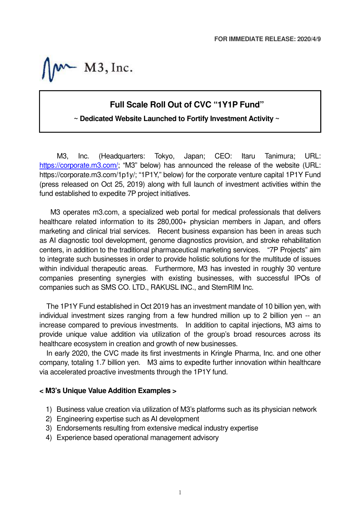$W-M3$ , Inc.

## **Full Scale Roll Out of CVC "1Y1P Fund"**

### **~ Dedicated Website Launched to Fortify Investment Activity ~**

M3, Inc. (Headquarters: Tokyo, Japan; CEO: Itaru Tanimura; URL: https://corporate.m3.com/; "M3" below) has announced the release of the website (URL: https://corporate.m3.com/1p1y/; "1P1Y," below) for the corporate venture capital 1P1Y Fund (press released on Oct 25, 2019) along with full launch of investment activities within the fund established to expedite 7P project initiatives.

M3 operates m3.com, a specialized web portal for medical professionals that delivers healthcare related information to its 280,000+ physician members in Japan, and offers marketing and clinical trial services. Recent business expansion has been in areas such as AI diagnostic tool development, genome diagnostics provision, and stroke rehabilitation centers, in addition to the traditional pharmaceutical marketing services. "7P Projects" aim to integrate such businesses in order to provide holistic solutions for the multitude of issues within individual therapeutic areas. Furthermore, M3 has invested in roughly 30 venture companies presenting synergies with existing businesses, with successful IPOs of companies such as SMS CO. LTD., RAKUSL INC., and StemRIM Inc.

The 1P1Y Fund established in Oct 2019 has an investment mandate of 10 billion yen, with individual investment sizes ranging from a few hundred million up to 2 billion yen -- an increase compared to previous investments. In addition to capital injections, M3 aims to provide unique value addition via utilization of the group's broad resources across its healthcare ecosystem in creation and growth of new businesses.

In early 2020, the CVC made its first investments in Kringle Pharma, Inc. and one other company, totaling 1.7 billion yen. M3 aims to expedite further innovation within healthcare via accelerated proactive investments through the 1P1Y fund.

#### **< M3's Unique Value Addition Examples >**

- 1) Business value creation via utilization of M3's platforms such as its physician network
- 2) Engineering expertise such as AI development
- 3) Endorsements resulting from extensive medical industry expertise
- 4) Experience based operational management advisory